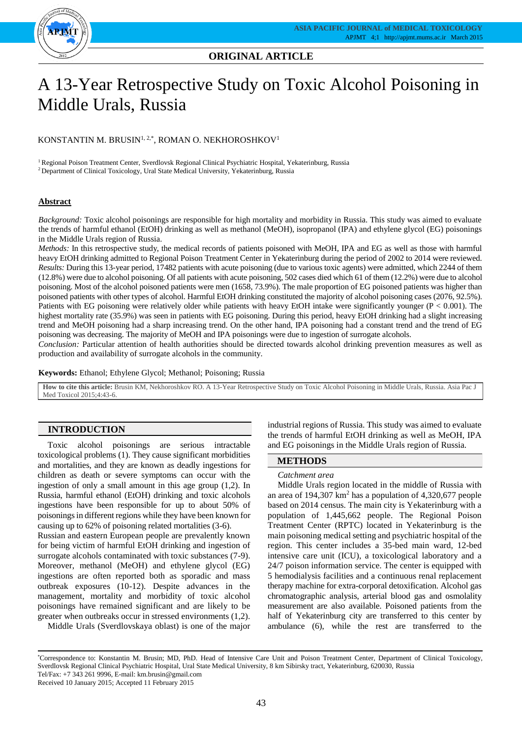

# **ORIGINAL ARTICLE**

# A 13-Year Retrospective Study on Toxic Alcohol Poisoning in Middle Urals, Russia

## KONSTANTIN M. BRUSIN<sup>1, 2,\*</sup>, ROMAN O. NEKHOROSHKOV<sup>1</sup>

<sup>1</sup> Regional Poison Treatment Center, Sverdlovsk Regional Clinical Psychiatric Hospital, Yekaterinburg, Russia <sup>2</sup> Department of Clinical Toxicology, Ural State Medical University, Yekaterinburg, Russia

## **Abstract**

*Background:* Toxic alcohol poisonings are responsible for high mortality and morbidity in Russia. This study was aimed to evaluate the trends of harmful ethanol (EtOH) drinking as well as methanol (MeOH), isopropanol (IPA) and ethylene glycol (EG) poisonings in the Middle Urals region of Russia.

*Methods:* In this retrospective study, the medical records of patients poisoned with MeOH, IPA and EG as well as those with harmful heavy EtOH drinking admitted to Regional Poison Treatment Center in Yekaterinburg during the period of 2002 to 2014 were reviewed. *Results:* During this 13-year period, 17482 patients with acute poisoning (due to various toxic agents) were admitted, which 2244 of them (12.8%) were due to alcohol poisoning. Of all patients with acute poisoning, 502 cases died which 61 of them (12.2%) were due to alcohol poisoning. Most of the alcohol poisoned patients were men (1658, 73.9%). The male proportion of EG poisoned patients was higher than poisoned patients with other types of alcohol. Harmful EtOH drinking constituted the majority of alcohol poisoning cases (2076, 92.5%). Patients with EG poisoning were relatively older while patients with heavy EtOH intake were significantly younger  $(P < 0.001)$ . The highest mortality rate (35.9%) was seen in patients with EG poisoning. During this period, heavy EtOH drinking had a slight increasing trend and MeOH poisoning had a sharp increasing trend. On the other hand, IPA poisoning had a constant trend and the trend of EG poisoning was decreasing. The majority of MeOH and IPA poisonings were due to ingestion of surrogate alcohols.

*Conclusion:* Particular attention of health authorities should be directed towards alcohol drinking prevention measures as well as production and availability of surrogate alcohols in the community.

**Keywords:** Ethanol; Ethylene Glycol; Methanol; Poisoning; Russia

**How to cite this article:** Brusin KM, Nekhoroshkov RO. A 13-Year Retrospective Study on Toxic Alcohol Poisoning in Middle Urals, Russia. Asia Pac J Med Toxicol 2015;4:43-6.

## **INTRODUCTION**

Toxic alcohol poisonings are serious intractable toxicological problems (1). They cause significant morbidities and mortalities, and they are known as deadly ingestions for children as death or severe symptoms can occur with the ingestion of only a small amount in this age group (1,2). In Russia, harmful ethanol (EtOH) drinking and toxic alcohols ingestions have been responsible for up to about 50% of poisonings in different regions while they have been known for causing up to 62% of poisoning related mortalities (3-6).

Russian and eastern European people are prevalently known for being victim of harmful EtOH drinking and ingestion of surrogate alcohols contaminated with toxic substances (7-9). Moreover, methanol (MeOH) and ethylene glycol (EG) ingestions are often reported both as sporadic and mass outbreak exposures (10-12). Despite advances in the management, mortality and morbidity of toxic alcohol poisonings have remained significant and are likely to be greater when outbreaks occur in stressed environments (1,2).

Middle Urals (Sverdlovskaya oblast) is one of the major

industrial regions of Russia. This study was aimed to evaluate the trends of harmful EtOH drinking as well as MeOH, IPA and EG poisonings in the Middle Urals region of Russia.

# **METHODS**

#### *Catchment area*

Middle Urals region located in the middle of Russia with an area of 194,307 km<sup>2</sup> has a population of 4,320,677 people based on 2014 census. The main city is Yekaterinburg with a population of 1,445,662 people. The Regional Poison Treatment Center (RPTC) located in Yekaterinburg is the main poisoning medical setting and psychiatric hospital of the region. This center includes a 35-bed main ward, 12-bed intensive care unit (ICU), a toxicological laboratory and a 24/7 poison information service. The center is equipped with 5 hemodialysis facilities and a continuous renal replacement therapy machine for extra-corporal detoxification. Alcohol gas chromatographic analysis, arterial blood gas and osmolality measurement are also available. Poisoned patients from the half of Yekaterinburg city are transferred to this center by ambulance (6), while the rest are transferred to the

Received 10 January 2015; Accepted 11 February 2015

<sup>\*</sup>Correspondence to: Konstantin M. Brusin; MD, PhD. Head of Intensive Care Unit and Poison Treatment Center, Department of Clinical Toxicology, Sverdlovsk Regional Clinical Psychiatric Hospital, Ural State Medical University, 8 km Sibirsky tract, Yekaterinburg, 620030, Russia Tel/Fax: +7 343 261 9996, E-mail: km.brusin@gmail.com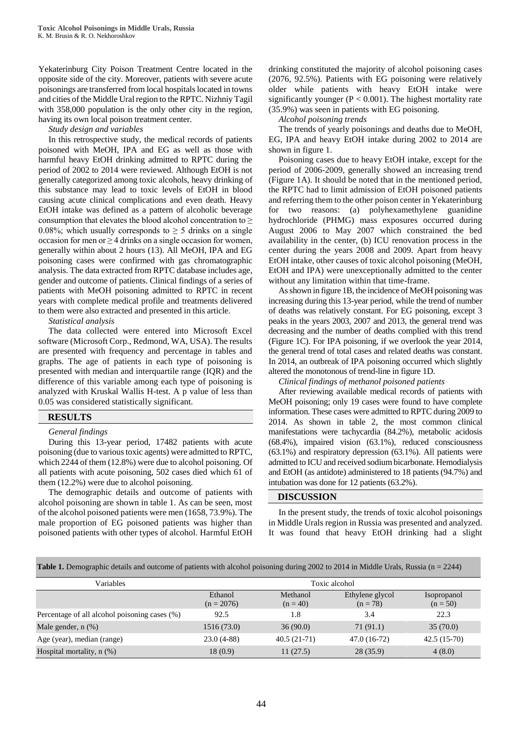Yekaterinburg City Poison Treatment Centre located in the opposite side of the city. Moreover, patients with severe acute poisonings are transferred from local hospitals located in towns and cities of the Middle Ural region to the RPTC. Nizhniy Tagil with 358,000 population is the only other city in the region, having its own local poison treatment center.

*Study design and variables*

In this retrospective study, the medical records of patients poisoned with MeOH, IPA and EG as well as those with harmful heavy EtOH drinking admitted to RPTC during the period of 2002 to 2014 were reviewed. Although EtOH is not generally categorized among toxic alcohols, heavy drinking of this substance may lead to toxic levels of EtOH in blood causing acute clinical complications and even death. Heavy EtOH intake was defined as a pattern of alcoholic beverage consumption that elevates the blood alcohol concentration to  $\geq$ 0.08%; which usually corresponds to  $\geq$  5 drinks on a single occasion for men or  $\geq$  4 drinks on a single occasion for women, generally within about 2 hours (13). All MeOH, IPA and EG poisoning cases were confirmed with gas chromatographic analysis. The data extracted from RPTC database includes age, gender and outcome of patients. Clinical findings of a series of patients with MeOH poisoning admitted to RPTC in recent years with complete medical profile and treatments delivered to them were also extracted and presented in this article.

*Statistical analysis*

The data collected were entered into Microsoft Excel software (Microsoft Corp., Redmond, WA, USA). The results are presented with frequency and percentage in tables and graphs. The age of patients in each type of poisoning is presented with median and interquartile range (IQR) and the difference of this variable among each type of poisoning is analyzed with Kruskal Wallis H-test. A p value of less than 0.05 was considered statistically significant.

## **RESULTS**

#### *General findings*

During this 13-year period, 17482 patients with acute poisoning (due to various toxic agents) were admitted to RPTC, which 2244 of them (12.8%) were due to alcohol poisoning. Of all patients with acute poisoning, 502 cases died which 61 of them (12.2%) were due to alcohol poisoning.

The demographic details and outcome of patients with alcohol poisoning are shown in table 1. As can be seen, most of the alcohol poisoned patients were men (1658, 73.9%). The male proportion of EG poisoned patients was higher than poisoned patients with other types of alcohol. Harmful EtOH

drinking constituted the majority of alcohol poisoning cases (2076, 92.5%). Patients with EG poisoning were relatively older while patients with heavy EtOH intake were significantly younger ( $P < 0.001$ ). The highest mortality rate (35.9%) was seen in patients with EG poisoning.

*Alcohol poisoning trends*

The trends of yearly poisonings and deaths due to MeOH, EG, IPA and heavy EtOH intake during 2002 to 2014 are shown in figure 1.

Poisoning cases due to heavy EtOH intake, except for the period of 2006-2009, generally showed an increasing trend (Figure 1A). It should be noted that in the mentioned period, the RPTC had to limit admission of EtOH poisoned patients and referring them to the other poison center in Yekaterinburg for two reasons: (a) polyhexamethylene guanidine hydrochloride (PHMG) mass exposures occurred during August 2006 to May 2007 which constrained the bed availability in the center, (b) ICU renovation process in the center during the years 2008 and 2009. Apart from heavy EtOH intake, other causes of toxic alcohol poisoning (MeOH, EtOH and IPA) were unexceptionally admitted to the center without any limitation within that time-frame.

As shown in figure 1B, the incidence of MeOH poisoning was increasing during this 13-year period, while the trend of number of deaths was relatively constant. For EG poisoning, except 3 peaks in the years 2003, 2007 and 2013, the general trend was decreasing and the number of deaths complied with this trend (Figure 1C). For IPA poisoning, if we overlook the year 2014, the general trend of total cases and related deaths was constant. In 2014, an outbreak of IPA poisoning occurred which slightly altered the monotonous of trend-line in figure 1D.

*Clinical findings of methanol poisoned patients* 

After reviewing available medical records of patients with MeOH poisoning; only 19 cases were found to have complete information. These cases were admitted to RPTC during 2009 to 2014. As shown in table 2, the most common clinical manifestations were tachycardia (84.2%), metabolic acidosis (68.4%), impaired vision (63.1%), reduced consciousness (63.1%) and respiratory depression (63.1%). All patients were admitted to ICU and received sodium bicarbonate. Hemodialysis and EtOH (as antidote) administered to 18 patients (94.7%) and intubation was done for 12 patients (63.2%).

#### **DISCUSSION**

In the present study, the trends of toxic alcohol poisonings in Middle Urals region in Russia was presented and analyzed. It was found that heavy EtOH drinking had a slight

**Table 1.** Demographic details and outcome of patients with alcohol poisoning during 2002 to 2014 in Middle Urals, Russia (n = 2244)

| Variables                                     | Toxic alcohol           |                        |                               |                                  |  |
|-----------------------------------------------|-------------------------|------------------------|-------------------------------|----------------------------------|--|
|                                               | Ethanol<br>$(n = 2076)$ | Methanol<br>$(n = 40)$ | Ethylene glycol<br>$(n = 78)$ | <i>s</i> opropanol<br>$(n = 50)$ |  |
| Percentage of all alcohol poisoning cases (%) | 92.5                    | 1.8                    | 3.4                           | 22.3                             |  |
| Male gender, $n$ $(\%)$                       | 1516 (73.0)             | 36(90.0)               | 71 (91.1)                     | 35(70.0)                         |  |
| Age (year), median (range)                    | $23.0(4-88)$            | $40.5(21-71)$          | 47.0 (16-72)                  | $42.5(15-70)$                    |  |
| Hospital mortality, $n$ (%)                   | 18(0.9)                 | 11(27.5)               | 28(35.9)                      | 4(8.0)                           |  |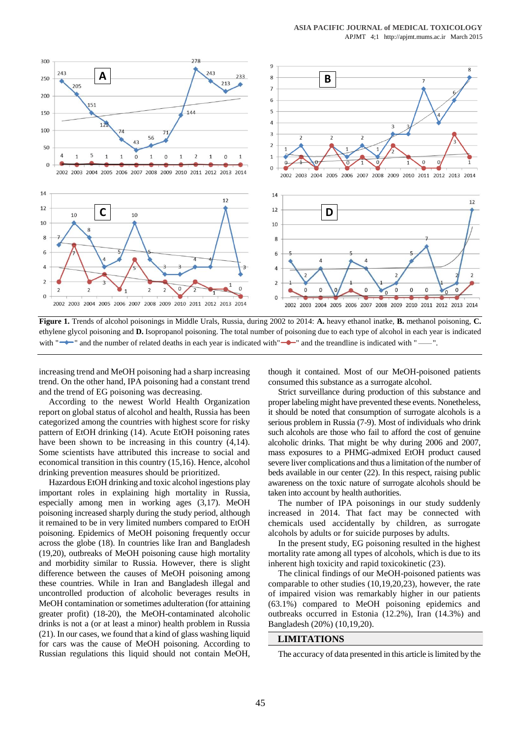

**Figure 1.** Trends of alcohol poisonings in Middle Urals, Russia, during 2002 to 2014: **A.** heavy ethanol inatke, **B.** methanol poisoning, **C.** ethylene glycol poisoning and **D.** Isopropanol poisoning. The total number of poisoning due to each type of alcohol in each year is indicated with "
in and the number of related deaths in each year is indicated with "
indicated with "
" and the treandline is indicated with "
-

increasing trend and MeOH poisoning had a sharp increasing trend. On the other hand, IPA poisoning had a constant trend and the trend of EG poisoning was decreasing.

According to the newest World Health Organization report on global status of alcohol and health, Russia has been categorized among the countries with highest score for risky pattern of EtOH drinking (14). Acute EtOH poisoning rates have been shown to be increasing in this country  $(4,14)$ . Some scientists have attributed this increase to social and economical transition in this country (15,16). Hence, alcohol drinking prevention measures should be prioritized.

Hazardous EtOH drinking and toxic alcohol ingestions play important roles in explaining high mortality in Russia, especially among men in working ages (3,17). MeOH poisoning increased sharply during the study period, although it remained to be in very limited numbers compared to EtOH poisoning. Epidemics of MeOH poisoning frequently occur across the globe (18). In countries like Iran and Bangladesh (19,20), outbreaks of MeOH poisoning cause high mortality and morbidity similar to Russia. However, there is slight difference between the causes of MeOH poisoning among these countries. While in Iran and Bangladesh illegal and uncontrolled production of alcoholic beverages results in MeOH contamination or sometimes adulteration (for attaining greater profit) (18-20), the MeOH-contaminated alcoholic drinks is not a (or at least a minor) health problem in Russia (21). In our cases, we found that a kind of glass washing liquid for cars was the cause of MeOH poisoning. According to Russian regulations this liquid should not contain MeOH,

though it contained. Most of our MeOH-poisoned patients consumed this substance as a surrogate alcohol.

Strict surveillance during production of this substance and proper labeling might have prevented these events. Nonetheless, it should be noted that consumption of surrogate alcohols is a serious problem in Russia (7-9). Most of individuals who drink such alcohols are those who fail to afford the cost of genuine alcoholic drinks. That might be why during 2006 and 2007, mass exposures to a PHMG-admixed EtOH product caused severe liver complications and thus a limitation of the number of beds available in our center (22). In this respect, raising public awareness on the toxic nature of surrogate alcohols should be taken into account by health authorities.

The number of IPA poisonings in our study suddenly increased in 2014. That fact may be connected with chemicals used accidentally by children, as surrogate alcohols by adults or for suicide purposes by adults.

In the present study, EG poisoning resulted in the highest mortality rate among all types of alcohols, which is due to its inherent high toxicity and rapid toxicokinetic (23).

The clinical findings of our MeOH-poisoned patients was comparable to other studies (10,19,20,23), however, the rate of impaired vision was remarkably higher in our patients (63.1%) compared to MeOH poisoning epidemics and outbreaks occurred in Estonia (12.2%), Iran (14.3%) and Bangladesh (20%) (10,19,20).

#### **LIMITATIONS**

The accuracy of data presented in this article is limited by the